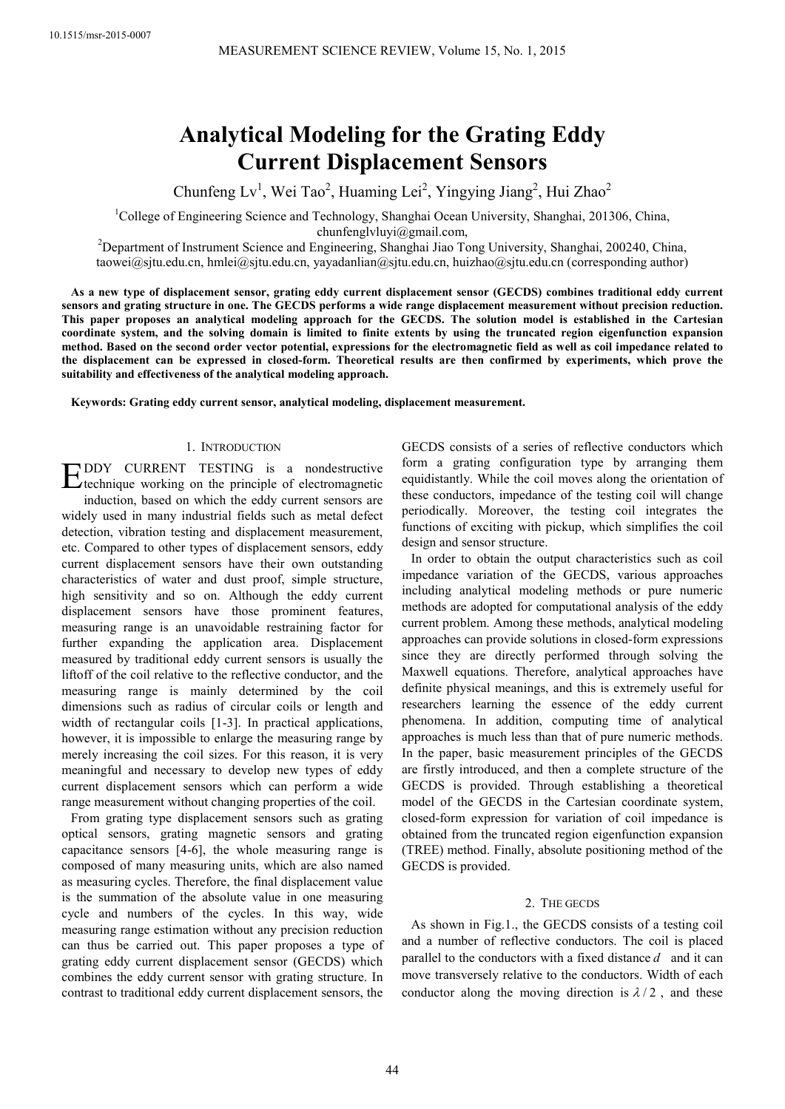# **Analytical Modeling for the Grating Eddy Current Displacement Sensors**

Chunfeng Lv<sup>1</sup>, Wei Tao<sup>2</sup>, Huaming Lei<sup>2</sup>, Yingying Jiang<sup>2</sup>, Hui Zhao<sup>2</sup>

<sup>1</sup>College of Engineering Science and Technology, Shanghai Ocean University, Shanghai, 201306, China, chunfenglvluyi@gmail.com,

<sup>2</sup>Department of Instrument Science and Engineering, Shanghai Jiao Tong University, Shanghai, 200240, China, taowei@sjtu.edu.cn, hmlei@sjtu.edu.cn, yayadanlian@sjtu.edu.cn, huizhao@sjtu.edu.cn (corresponding author)

**As a new type of displacement sensor, grating eddy current displacement sensor (GECDS) combines traditional eddy current sensors and grating structure in one. The GECDS performs a wide range displacement measurement without precision reduction. This paper proposes an analytical modeling approach for the GECDS. The solution model is established in the Cartesian coordinate system, and the solving domain is limited to finite extents by using the truncated region eigenfunction expansion method. Based on the second order vector potential, expressions for the electromagnetic field as well as coil impedance related to the displacement can be expressed in closed-form. Theoretical results are then confirmed by experiments, which prove the suitability and effectiveness of the analytical modeling approach.** 

**Keywords: Grating eddy current sensor, analytical modeling, displacement measurement.** 

## 1. INTRODUCTION

DDY CURRENT TESTING is a nondestructive EDDY CURRENT TESTING is a nondestructive technique working on the principle of electromagnetic induction, based on which the eddy current sensors are widely used in many industrial fields such as metal defect detection, vibration testing and displacement measurement, etc. Compared to other types of displacement sensors, eddy current displacement sensors have their own outstanding characteristics of water and dust proof, simple structure, high sensitivity and so on. Although the eddy current displacement sensors have those prominent features, measuring range is an unavoidable restraining factor for further expanding the application area. Displacement measured by traditional eddy current sensors is usually the liftoff of the coil relative to the reflective conductor, and the measuring range is mainly determined by the coil dimensions such as radius of circular coils or length and width of rectangular coils [1-3]. In practical applications, however, it is impossible to enlarge the measuring range by merely increasing the coil sizes. For this reason, it is very meaningful and necessary to develop new types of eddy current displacement sensors which can perform a wide range measurement without changing properties of the coil.

From grating type displacement sensors such as grating optical sensors, grating magnetic sensors and grating capacitance sensors [4-6], the whole measuring range is composed of many measuring units, which are also named as measuring cycles. Therefore, the final displacement value is the summation of the absolute value in one measuring cycle and numbers of the cycles. In this way, wide measuring range estimation without any precision reduction can thus be carried out. This paper proposes a type of grating eddy current displacement sensor (GECDS) which combines the eddy current sensor with grating structure. In contrast to traditional eddy current displacement sensors, the

GECDS consists of a series of reflective conductors which form a grating configuration type by arranging them equidistantly. While the coil moves along the orientation of these conductors, impedance of the testing coil will change periodically. Moreover, the testing coil integrates the functions of exciting with pickup, which simplifies the coil design and sensor structure.

In order to obtain the output characteristics such as coil impedance variation of the GECDS, various approaches including analytical modeling methods or pure numeric methods are adopted for computational analysis of the eddy current problem. Among these methods, analytical modeling approaches can provide solutions in closed-form expressions since they are directly performed through solving the Maxwell equations. Therefore, analytical approaches have definite physical meanings, and this is extremely useful for researchers learning the essence of the eddy current phenomena. In addition, computing time of analytical approaches is much less than that of pure numeric methods. In the paper, basic measurement principles of the GECDS are firstly introduced, and then a complete structure of the GECDS is provided. Through establishing a theoretical model of the GECDS in the Cartesian coordinate system, closed-form expression for variation of coil impedance is obtained from the truncated region eigenfunction expansion (TREE) method. Finally, absolute positioning method of the GECDS is provided.

## 2. THE GECDS

As shown in Fig.1., the GECDS consists of a testing coil and a number of reflective conductors. The coil is placed parallel to the conductors with a fixed distance *d* and it can move transversely relative to the conductors. Width of each conductor along the moving direction is  $\lambda/2$ , and these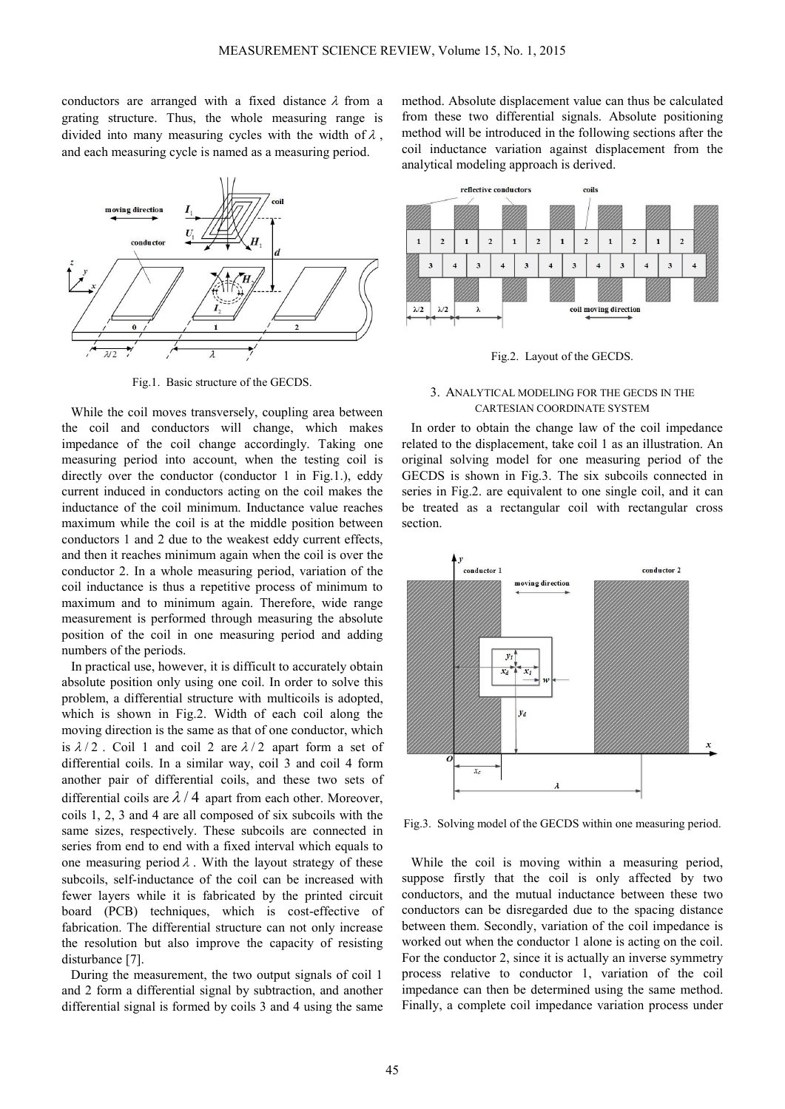conductors are arranged with a fixed distance  $\lambda$  from a grating structure. Thus, the whole measuring range is divided into many measuring cycles with the width of  $\lambda$ , and each measuring cycle is named as a measuring period.



Fig.1. Basic structure of the GECDS.

While the coil moves transversely, coupling area between the coil and conductors will change, which makes impedance of the coil change accordingly. Taking one measuring period into account, when the testing coil is directly over the conductor (conductor 1 in Fig.1.), eddy current induced in conductors acting on the coil makes the inductance of the coil minimum. Inductance value reaches maximum while the coil is at the middle position between conductors 1 and 2 due to the weakest eddy current effects, and then it reaches minimum again when the coil is over the conductor 2. In a whole measuring period, variation of the coil inductance is thus a repetitive process of minimum to maximum and to minimum again. Therefore, wide range measurement is performed through measuring the absolute position of the coil in one measuring period and adding numbers of the periods.

In practical use, however, it is difficult to accurately obtain absolute position only using one coil. In order to solve this problem, a differential structure with multicoils is adopted, which is shown in Fig.2. Width of each coil along the moving direction is the same as that of one conductor, which is  $\lambda/2$ . Coil 1 and coil 2 are  $\lambda/2$  apart form a set of differential coils. In a similar way, coil 3 and coil 4 form another pair of differential coils, and these two sets of differential coils are  $\lambda$  / 4 apart from each other. Moreover, coils 1, 2, 3 and 4 are all composed of six subcoils with the same sizes, respectively. These subcoils are connected in series from end to end with a fixed interval which equals to one measuring period  $\lambda$ . With the layout strategy of these subcoils, self-inductance of the coil can be increased with fewer layers while it is fabricated by the printed circuit board (PCB) techniques, which is cost-effective of fabrication. The differential structure can not only increase the resolution but also improve the capacity of resisting disturbance [7].

During the measurement, the two output signals of coil 1 and 2 form a differential signal by subtraction, and another differential signal is formed by coils 3 and 4 using the same

method. Absolute displacement value can thus be calculated from these two differential signals. Absolute positioning method will be introduced in the following sections after the coil inductance variation against displacement from the analytical modeling approach is derived.



Fig.2. Layout of the GECDS.

# 3. ANALYTICAL MODELING FOR THE GECDS IN THE CARTESIAN COORDINATE SYSTEM

In order to obtain the change law of the coil impedance related to the displacement, take coil 1 as an illustration. An original solving model for one measuring period of the GECDS is shown in Fig.3. The six subcoils connected in series in Fig.2. are equivalent to one single coil, and it can be treated as a rectangular coil with rectangular cross section.



Fig.3. Solving model of the GECDS within one measuring period.

While the coil is moving within a measuring period, suppose firstly that the coil is only affected by two conductors, and the mutual inductance between these two conductors can be disregarded due to the spacing distance between them. Secondly, variation of the coil impedance is worked out when the conductor 1 alone is acting on the coil. For the conductor 2, since it is actually an inverse symmetry process relative to conductor 1, variation of the coil impedance can then be determined using the same method. Finally, a complete coil impedance variation process under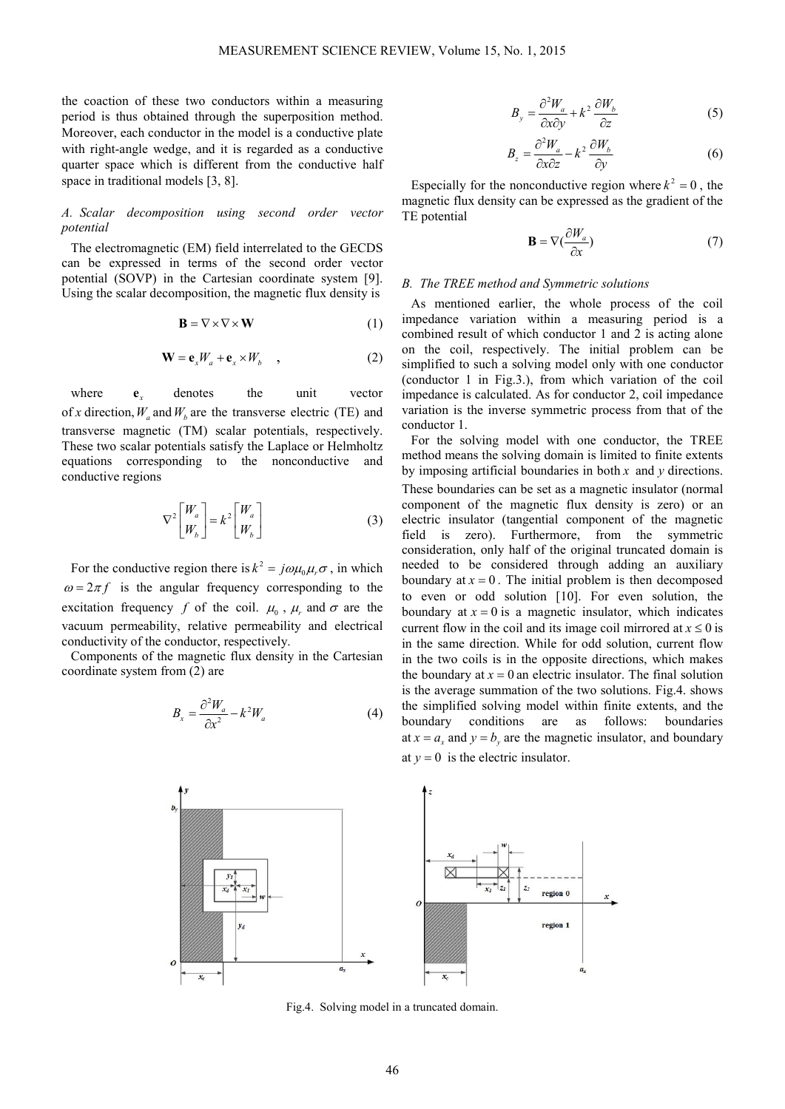the coaction of these two conductors within a measuring period is thus obtained through the superposition method. Moreover, each conductor in the model is a conductive plate with right-angle wedge, and it is regarded as a conductive quarter space which is different from the conductive half space in traditional models [3, 8].

# *A. Scalar decomposition using second order vector potential*

The electromagnetic (EM) field interrelated to the GECDS can be expressed in terms of the second order vector potential (SOVP) in the Cartesian coordinate system [9]. Using the scalar decomposition, the magnetic flux density is

$$
\mathbf{B} = \nabla \times \nabla \times \mathbf{W} \tag{1}
$$

$$
\mathbf{W} = \mathbf{e}_x W_a + \mathbf{e}_x \times W_b \quad , \tag{2}
$$

where **e** denotes the unit vector of *x* direction,  $W_a$  and  $W_b$  are the transverse electric (TE) and transverse magnetic (TM) scalar potentials, respectively. These two scalar potentials satisfy the Laplace or Helmholtz equations corresponding to the nonconductive and conductive regions

$$
\nabla^2 \begin{bmatrix} W_a \\ W_b \end{bmatrix} = k^2 \begin{bmatrix} W_a \\ W_b \end{bmatrix}
$$
 (3)

For the conductive region there is  $k^2 = j\omega\mu_0\mu_r\sigma$ , in which  $\omega = 2\pi f$  is the angular frequency corresponding to the excitation frequency *f* of the coil.  $\mu_0$ ,  $\mu_r$  and  $\sigma$  are the vacuum permeability, relative permeability and electrical conductivity of the conductor, respectively.

Components of the magnetic flux density in the Cartesian coordinate system from (2) are

$$
B_x = \frac{\partial^2 W_a}{\partial x^2} - k^2 W_a \tag{4}
$$



$$
B_y = \frac{\partial^2 W_a}{\partial x \partial y} + k^2 \frac{\partial W_b}{\partial z} \tag{5}
$$

$$
B_z = \frac{\partial^2 W_a}{\partial x \partial z} - k^2 \frac{\partial W_b}{\partial y} \tag{6}
$$

Especially for the nonconductive region where  $k^2 = 0$ , the magnetic flux density can be expressed as the gradient of the TE potential

$$
\mathbf{B} = \nabla \left( \frac{\partial W_a}{\partial x} \right) \tag{7}
$$

#### *B. The TREE method and Symmetric solutions*

As mentioned earlier, the whole process of the coil impedance variation within a measuring period is a combined result of which conductor 1 and 2 is acting alone on the coil, respectively. The initial problem can be simplified to such a solving model only with one conductor (conductor 1 in Fig.3.), from which variation of the coil impedance is calculated. As for conductor 2, coil impedance variation is the inverse symmetric process from that of the conductor 1.

For the solving model with one conductor, the TREE method means the solving domain is limited to finite extents by imposing artificial boundaries in both *x* and *y* directions. These boundaries can be set as a magnetic insulator (normal component of the magnetic flux density is zero) or an electric insulator (tangential component of the magnetic field is zero). Furthermore, from the symmetric consideration, only half of the original truncated domain is needed to be considered through adding an auxiliary boundary at  $x = 0$ . The initial problem is then decomposed to even or odd solution [10]. For even solution, the boundary at  $x = 0$  is a magnetic insulator, which indicates current flow in the coil and its image coil mirrored at  $x \le 0$  is in the same direction. While for odd solution, current flow in the two coils is in the opposite directions, which makes the boundary at  $x = 0$  an electric insulator. The final solution is the average summation of the two solutions. Fig.4. shows the simplified solving model within finite extents, and the boundary conditions are as follows: boundaries at  $x = a_x$  and  $y = b_y$  are the magnetic insulator, and boundary at  $y = 0$  is the electric insulator.



Fig.4. Solving model in a truncated domain.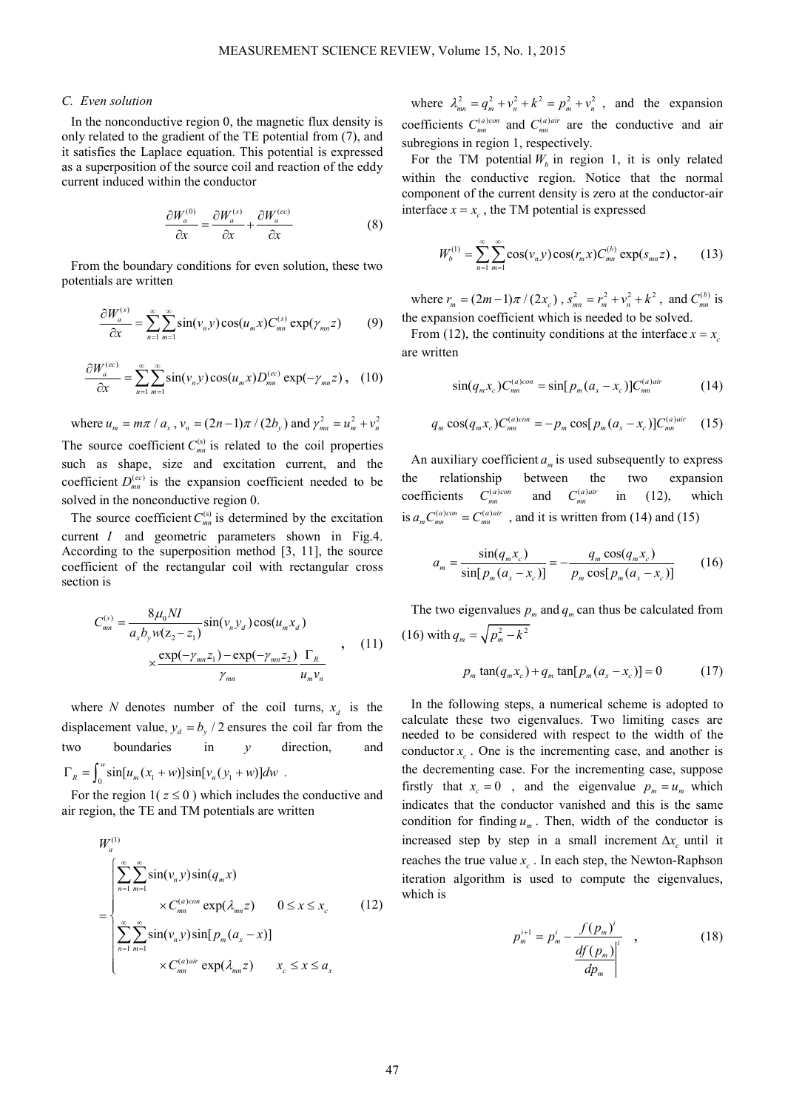## *C. Even solution*

In the nonconductive region 0, the magnetic flux density is only related to the gradient of the TE potential from (7), and it satisfies the Laplace equation. This potential is expressed as a superposition of the source coil and reaction of the eddy current induced within the conductor

$$
\frac{\partial W_a^{(0)}}{\partial x} = \frac{\partial W_a^{(s)}}{\partial x} + \frac{\partial W_a^{(ec)}}{\partial x} \tag{8}
$$

From the boundary conditions for even solution, these two potentials are written

$$
\frac{\partial W_a^{(s)}}{\partial x} = \sum_{n=1}^{\infty} \sum_{m=1}^{\infty} \sin(v_n y) \cos(u_m x) C_{mn}^{(s)} \exp(\gamma_{mn} z) \tag{9}
$$

$$
\frac{\partial W_a^{(ec)}}{\partial x} = \sum_{n=1}^{\infty} \sum_{m=1}^{\infty} \sin(v_n y) \cos(u_m x) D_{mn}^{(ec)} \exp(-\gamma_{mn} z) , \quad (10)
$$

where  $u_m = m\pi / a_x$ ,  $v_n = (2n-1)\pi / (2b_y)$  and  $\gamma_{mn}^2 = u_m^2 + v_n^2$ The source coefficient  $C_{mn}^{(s)}$  is related to the coil properties such as shape, size and excitation current, and the coefficient  $D_{mn}^{(ec)}$  is the expansion coefficient needed to be solved in the nonconductive region 0.

The source coefficient  $C_{mn}^{(s)}$  is determined by the excitation current *I* and geometric parameters shown in Fig.4. According to the superposition method [3, 11], the source coefficient of the rectangular coil with rectangular cross section is

$$
C_{mn}^{(s)} = \frac{8\mu_0 NI}{a_x b_y w (z_2 - z_1)} sin(v_n y_d) cos(u_m x_d)
$$
  
 
$$
\times \frac{exp(-\gamma_{mn} z_1) - exp(-\gamma_{mn} z_2)}{\gamma_{mn}} \frac{\Gamma_R}{u_m v_n}
$$
 (11)

where *N* denotes number of the coil turns,  $x_d$  is the displacement value,  $y_d = b_y / 2$  ensures the coil far from the two boundaries in *y* direction, and  $\Gamma_R = \int_0^w \sin[u_m(x_1+w)]\sin[v_n(y_1+w)]dw$ .

For the region  $1(z \le 0)$  which includes the conductive and air region, the TE and TM potentials are written

$$
W_a^{(1)}
$$
\n
$$
= \begin{cases}\n\sum_{n=1}^{\infty} \sum_{m=1}^{\infty} \sin(\nu_n y) \sin(q_m x) \\
\times C_{mn}^{(a)con} \exp(\lambda_{mn} z) \quad 0 \le x \le x_c\n\end{cases}
$$
\n
$$
(12)
$$
\n
$$
\sum_{n=1}^{\infty} \sum_{m=1}^{\infty} \sin(\nu_n y) \sin[p_m(a_x - x)]
$$
\n
$$
\times C_{mn}^{(a)air} \exp(\lambda_{mn} z) \quad x_c \le x \le a_x
$$

where  $\lambda_{mn}^2 = q_m^2 + v_n^2 + k^2 = p_m^2 + v_n^2$ , and the expansion coefficients  $C_{mn}^{(a)con}$  and  $C_{mn}^{(a)air}$  are the conductive and air subregions in region 1, respectively.

For the TM potential  $W_b$  in region 1, it is only related within the conductive region. Notice that the normal component of the current density is zero at the conductor-air interface  $x = x_c$ , the TM potential is expressed

$$
W_b^{(1)} = \sum_{n=1}^{\infty} \sum_{m=1}^{\infty} \cos(v_n y) \cos(r_m x) C_{mn}^{(b)} \exp(s_{mn} z) , \qquad (13)
$$

where  $r_m = (2m-1)\pi/(2x_c)$ ,  $s_{mn}^2 = r_m^2 + v_n^2 + k^2$ , and  $C_{mn}^{(b)}$  is the expansion coefficient which is needed to be solved.

From (12), the continuity conditions at the interface  $x = x_c$ are written

$$
\sin(q_m x_c) C_{mn}^{(a)con} = \sin[p_m (a_x - x_c)] C_{mn}^{(a)air} \tag{14}
$$

$$
q_m \cos(q_m x_c) C_{mn}^{(a)con} = -p_m \cos[p_m (a_x - x_c)] C_{mn}^{(a)air} \quad (15)
$$

An auxiliary coefficient  $a_m$  is used subsequently to express the relationship between the two expansion coefficients  $C_{mn}^{(a)con}$ and  $C_{mn}^{(a)air}$ in (12), which is  $a_m C_{mn}^{(a)con} = C_{mn}^{(a)air}$ , and it is written from (14) and (15)

$$
a_m = \frac{\sin(q_m x_c)}{\sin[p_m(a_x - x_c)]} = -\frac{q_m \cos(q_m x_c)}{p_m \cos[p_m(a_x - x_c)]}
$$
(16)

The two eigenvalues  $p_m$  and  $q_m$  can thus be calculated from  $(16)$  with  $q_m = \sqrt{p_m^2 - k^2}$ 

$$
p_m \tan(q_m x_c) + q_m \tan[p_m(a_x - x_c)] = 0 \tag{17}
$$

In the following steps, a numerical scheme is adopted to calculate these two eigenvalues. Two limiting cases are needed to be considered with respect to the width of the conductor  $x_c$ . One is the incrementing case, and another is the decrementing case. For the incrementing case, suppose firstly that  $x_c = 0$ , and the eigenvalue  $p_m = u_m$  which indicates that the conductor vanished and this is the same condition for finding  $u_m$ . Then, width of the conductor is increased step by step in a small increment  $\Delta x_c$  until it reaches the true value  $x_c$ . In each step, the Newton-Raphson iteration algorithm is used to compute the eigenvalues, which is

$$
p_m^{i+1} = p_m^i - \frac{f(p_m)^i}{\frac{df(p_m)^i}{dp_m}}
$$
, (18)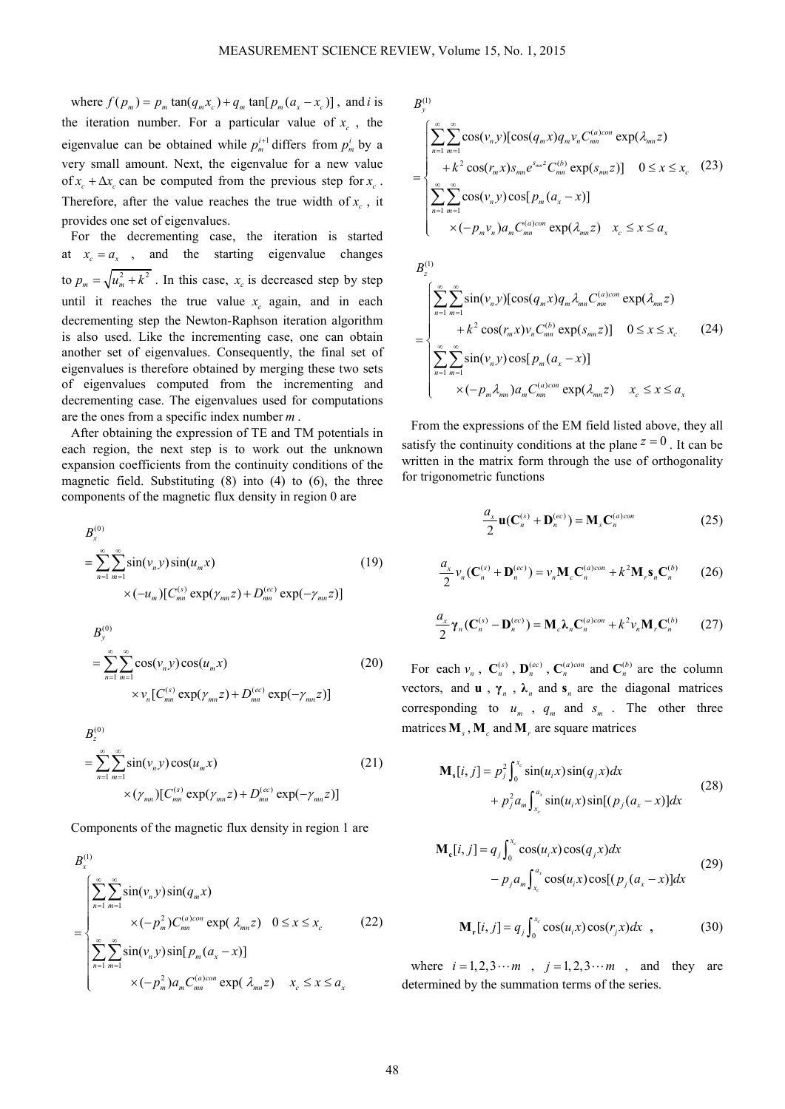where  $f(p_m) = p_m \tan(q_m x_c) + q_m \tan[p_m (a_x - x_c)]$ , and *i* is the iteration number. For a particular value of  $x_c$ , the eigenvalue can be obtained while  $p_m^{i+1}$  differs from  $p_m^i$  by a very small amount. Next, the eigenvalue for a new value of  $x_c + \Delta x_c$  can be computed from the previous step for  $x_c$ . Therefore, after the value reaches the true width of  $x_c$ , it provides one set of eigenvalues.

For the decrementing case, the iteration is started at  $x_c = a_x$ , and the starting eigenvalue changes to  $p_m = \sqrt{u_m^2 + k^2}$ . In this case,  $x_c$  is decreased step by step until it reaches the true value  $x_c$  again, and in each decrementing step the Newton-Raphson iteration algorithm is also used. Like the incrementing case, one can obtain another set of eigenvalues. Consequently, the final set of eigenvalues is therefore obtained by merging these two sets of eigenvalues computed from the incrementing and decrementing case. The eigenvalues used for computations are the ones from a specific index number *m* .

After obtaining the expression of TE and TM potentials in each region, the next step is to work out the unknown expansion coefficients from the continuity conditions of the magnetic field. Substituting  $(8)$  into  $(4)$  to  $(6)$ , the three components of the magnetic flux density in region 0 are

$$
B_x^{(0)} = \sum_{n=1}^{\infty} \sum_{m=1}^{\infty} \sin(v_n y) \sin(u_m x)
$$
  
× $(-u_m)[C_{mn}^{(s)} \exp(\gamma_{mn} z) + D_{mn}^{(ec)} \exp(-\gamma_{mn} z)]$  (19)

$$
B_{y}^{(0)} = \sum_{n=1}^{\infty} \sum_{m=1}^{\infty} \cos(v_n y) \cos(u_m x)
$$
 (20)  
 
$$
\times v_n [C_{mn}^{(s)} \exp(\gamma_{mn} z) + D_{mn}^{(ec)} \exp(-\gamma_{mn} z)]
$$

$$
B_z^{(0)} = \sum_{n=1}^{\infty} \sum_{m=1}^{\infty} \sin(v_n y) \cos(u_m x)
$$
 (21)  
 
$$
\times (\gamma_{mn}) [C_{mn}^{(s)} \exp(\gamma_{mn} z) + D_{mn}^{(ec)} \exp(-\gamma_{mn} z)]
$$

Components of the magnetic flux density in region 1 are

$$
B_x^{(1)}
$$
\n
$$
= \begin{cases}\n\sum_{n=1}^{\infty} \sum_{m=1}^{\infty} \sin(v_n y) \sin(q_m x) \\
\times (-p_m^2) C_{mn}^{(a)con} \exp(\lambda_{mn} z) \quad 0 \le x \le x_c\n\end{cases}
$$
\n
$$
(22)
$$
\n
$$
\sum_{n=1}^{\infty} \sum_{m=1}^{\infty} \sin(v_n y) \sin[p_m(a_x - x)]
$$
\n
$$
\times (-p_m^2) a_m C_{mn}^{(a)con} \exp(\lambda_{mn} z) \quad x_c \le x \le a_x
$$

$$
B_{y}^{(1)}
$$
\n
$$
= \begin{cases}\n\sum_{n=1}^{\infty} \sum_{m=1}^{\infty} \cos(v_{n}y) [\cos(q_{m}x) q_{m}v_{n} C_{mn}^{(a)con} \exp(\lambda_{mn}z) \\
+ k^{2} \cos(r_{m}x) s_{mn} e^{s_{mn}z} C_{mn}^{(b)} \exp(s_{mn}z)] \quad 0 \leq x \leq x_{c} \quad (23)\n\sum_{n=1}^{\infty} \sum_{m=1}^{\infty} \cos(v_{n}y) \cos[p_{m}(a_{x}-x)] \\
\times (-p_{m}v_{n}) a_{m} C_{mn}^{(a)con} \exp(\lambda_{mn}z) \quad x_{c} \leq x \leq a_{x}\n\end{cases}
$$

$$
B_z^{(1)}
$$
\n
$$
= \begin{cases}\n\sum_{n=1}^{\infty} \sum_{m=1}^{\infty} \sin(v_n y) [\cos(q_m x) q_m \lambda_{mn} C_{mn}^{(a)con} \exp(\lambda_{mn} z) \\
+ k^2 \cos(r_m x) v_n C_{mn}^{(b)} \exp(s_{mn} z)] \quad 0 \le x \le x_c \quad (24)\n\sum_{n=1}^{\infty} \sum_{m=1}^{\infty} \sin(v_n y) \cos[p_m (a_x - x)] \\
\times (-p_m \lambda_{mn}) a_m C_{mn}^{(a)con} \exp(\lambda_{mn} z) \quad x_c \le x \le a_x\n\end{cases}
$$

From the expressions of the EM field listed above, they all satisfy the continuity conditions at the plane  $z = 0$ . It can be written in the matrix form through the use of orthogonality for trigonometric functions

$$
\frac{a_x}{2}\mathbf{u}(\mathbf{C}_n^{(s)} + \mathbf{D}_n^{(ec)}) = \mathbf{M}_s \mathbf{C}_n^{(a)con}
$$
 (25)

$$
\frac{a_x}{2}v_n(\mathbf{C}_n^{(s)} + \mathbf{D}_n^{(ec)}) = v_n \mathbf{M}_c \mathbf{C}_n^{(a)con} + k^2 \mathbf{M}_r \mathbf{s}_n \mathbf{C}_n^{(b)} \tag{26}
$$

$$
\frac{a_x}{2}\gamma_n(\mathbf{C}_n^{(s)} - \mathbf{D}_n^{(ec)}) = \mathbf{M}_c \boldsymbol{\lambda}_n \mathbf{C}_n^{(a)con} + k^2 \nu_n \mathbf{M}_r \mathbf{C}_n^{(b)} \qquad (27)
$$

For each  $v_n$ ,  $C_n^{(s)}$ ,  $D_n^{(ec)}$ ,  $C_n^{(a)con}$  and  $C_n^{(b)}$  are the column vectors, and **u**,  $\gamma_n$ ,  $\lambda_n$  and  $\mathbf{s}_n$  are the diagonal matrices corresponding to  $u_m$ ,  $q_m$  and  $s_m$ . The other three matrices  $M_s$ ,  $M_c$  and  $M_r$  are square matrices

$$
\mathbf{M}_{s}[i, j] = p_{j}^{2} \int_{0}^{x_{c}} \sin(u_{i}x)\sin(q_{j}x)dx \n+ p_{j}^{2} a_{m} \int_{x_{c}}^{a_{x}} \sin(u_{i}x)\sin[(p_{j}(a_{x}-x)]dx
$$
\n(28)

$$
\mathbf{M}_{\mathbf{c}}[i, j] = q_j \int_0^{x_{\mathbf{c}}} \cos(u_i x) \cos(q_j x) dx
$$
  
-  $p_j a_m \int_{x_{\mathbf{c}}}^{a_x} \cos(u_i x) \cos[(p_j (a_x - x)] dx$  (29)

$$
\mathbf{M}_r[i, j] = q_j \int_0^{x_c} \cos(u_i x) \cos(r_j x) dx , \qquad (30)
$$

where  $i = 1, 2, 3 \cdots m$ ,  $j = 1, 2, 3 \cdots m$ , and they are determined by the summation terms of the series.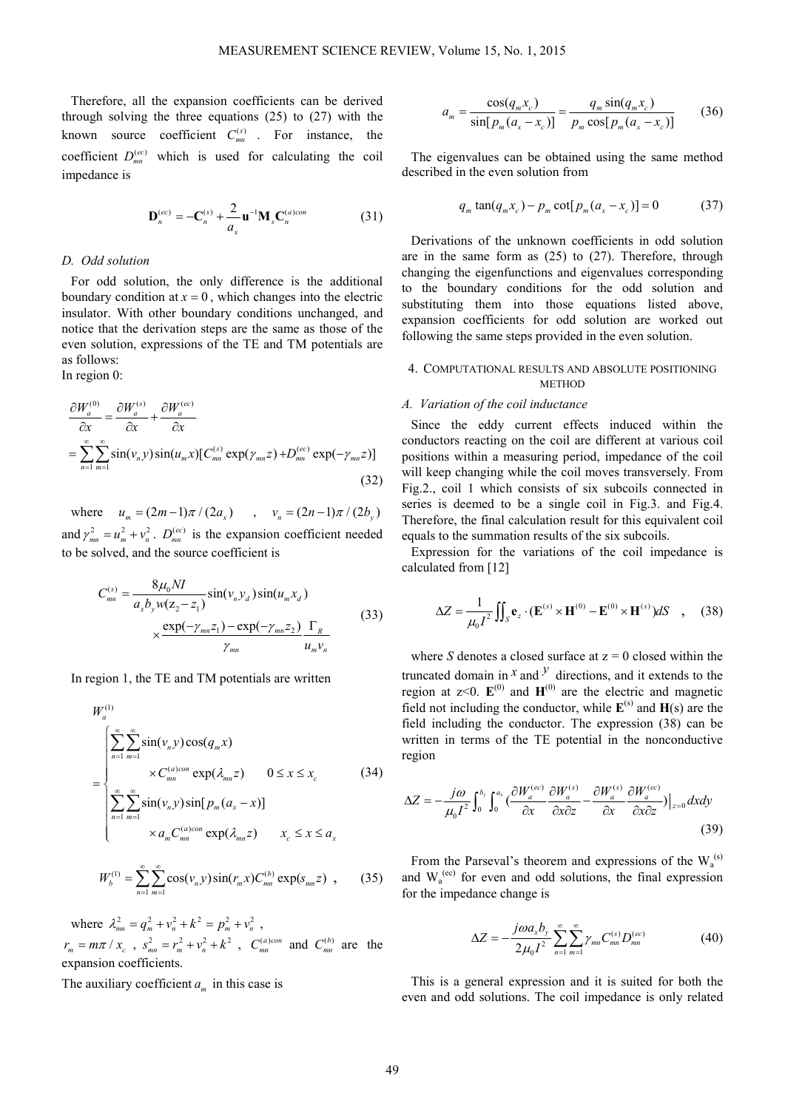Therefore, all the expansion coefficients can be derived through solving the three equations (25) to (27) with the known source coefficient  $C_{mn}^{(s)}$ . For instance, the coefficient  $D_{mn}^{(ec)}$  which is used for calculating the coil impedance is

$$
\mathbf{D}_n^{(ec)} = -\mathbf{C}_n^{(s)} + \frac{2}{a_x}\mathbf{u}^{-1}\mathbf{M}_s\mathbf{C}_n^{(a)con}
$$
 (31)

#### *D. Odd solution*

For odd solution, the only difference is the additional boundary condition at  $x = 0$ , which changes into the electric insulator. With other boundary conditions unchanged, and notice that the derivation steps are the same as those of the even solution, expressions of the TE and TM potentials are as follows:

In region 0:

$$
\frac{\partial W_a^{(0)}}{\partial x} = \frac{\partial W_a^{(s)}}{\partial x} + \frac{\partial W_a^{(ec)}}{\partial x}
$$
  
= 
$$
\sum_{n=1}^{\infty} \sum_{m=1}^{\infty} \sin(\nu_n y) \sin(u_m x) [C_{mn}^{(s)} \exp(\gamma_{mn} z) + D_{mn}^{(ec)} \exp(-\gamma_{mn} z)]
$$
(32)

where  $u_m = (2m-1)\pi/(2a_x)$ ,  $v_n = (2n-1)\pi/(2b_y)$ and  $\gamma_{mn}^2 = u_m^2 + v_n^2$ .  $D_{mn}^{(ec)}$  is the expansion coefficient needed to be solved, and the source coefficient is

$$
C_{mn}^{(s)} = \frac{8\mu_0 NI}{a_x b_y w (z_2 - z_1)} \sin(v_n y_d) \sin(u_m x_d)
$$
  
 
$$
\times \frac{\exp(-\gamma_{mn} z_1) - \exp(-\gamma_{mn} z_2)}{\gamma_{mn}} \frac{\Gamma_R}{u_m v_n}
$$
 (33)

In region 1, the TE and TM potentials are written

$$
W_a^{(1)}
$$
\n
$$
= \begin{cases}\n\sum_{n=1}^{\infty} \sum_{m=1}^{\infty} \sin(v_n y) \cos(q_m x) \\
\times C_{mn}^{(a)con} \exp(\lambda_{mn} z) \quad 0 \le x \le x_c\n\end{cases}
$$
\n
$$
(34)
$$
\n
$$
\sum_{n=1}^{\infty} \sum_{m=1}^{\infty} \sin(v_n y) \sin[p_m(a_x - x)]
$$
\n
$$
\times a_m C_{mn}^{(a)con} \exp(\lambda_{mn} z) \quad x_c \le x \le a_x
$$

$$
W_b^{(1)} = \sum_{n=1}^{\infty} \sum_{m=1}^{\infty} \cos(\nu_n y) \sin(r_m x) C_{mn}^{(b)} \exp(s_{mn} z) , \qquad (35)
$$

where  $\lambda_{mn}^2 = q_m^2 + v_n^2 + k^2 = p_m^2 + v_n^2$ ,  $r_m = m\pi / x_c$ ,  $s_{mn}^2 = r_m^2 + v_n^2 + k^2$ ,  $C_{mn}^{(a)con}$  and  $C_{mn}^{(b)}$  are the expansion coefficients.

The auxiliary coefficient  $a_m$  in this case is

$$
a_m = \frac{\cos(q_m x_c)}{\sin[p_m(a_x - x_c)]} = \frac{q_m \sin(q_m x_c)}{p_m \cos[p_m(a_x - x_c)]}
$$
(36)

The eigenvalues can be obtained using the same method described in the even solution from

$$
q_m \tan(q_m x_c) - p_m \cot[p_m(a_x - x_c)] = 0 \tag{37}
$$

Derivations of the unknown coefficients in odd solution are in the same form as (25) to (27). Therefore, through changing the eigenfunctions and eigenvalues corresponding to the boundary conditions for the odd solution and substituting them into those equations listed above, expansion coefficients for odd solution are worked out following the same steps provided in the even solution.

# 4. COMPUTATIONAL RESULTS AND ABSOLUTE POSITIONING **METHOD**

## *A. Variation of the coil inductance*

Since the eddy current effects induced within the conductors reacting on the coil are different at various coil positions within a measuring period, impedance of the coil will keep changing while the coil moves transversely. From Fig.2., coil 1 which consists of six subcoils connected in series is deemed to be a single coil in Fig.3. and Fig.4. Therefore, the final calculation result for this equivalent coil equals to the summation results of the six subcoils.

Expression for the variations of the coil impedance is calculated from [12]

$$
\Delta Z = \frac{1}{\mu_0 I^2} \iint_S \mathbf{e}_z \cdot (\mathbf{E}^{(s)} \times \mathbf{H}^{(0)} - \mathbf{E}^{(0)} \times \mathbf{H}^{(s)}) dS \quad , \quad (38)
$$

where *S* denotes a closed surface at  $z = 0$  closed within the truncated domain in  $^x$  and  $^y$  directions, and it extends to the region at  $z < 0$ .  $E^{(0)}$  and  $H^{(0)}$  are the electric and magnetic field not including the conductor, while  $\mathbf{E}^{(s)}$  and  $\mathbf{H}(s)$  are the field including the conductor. The expression (38) can be written in terms of the TE potential in the nonconductive region

$$
\Delta Z = -\frac{j\omega}{\mu_0 I^2} \int_0^{b_y} \int_0^{a_x} \left( \frac{\partial W_a^{(ec)}}{\partial x} \frac{\partial W_a^{(s)}}{\partial x \partial z} - \frac{\partial W_a^{(s)}}{\partial x} \frac{\partial W_a^{(ec)}}{\partial x \partial z} \right) \Big|_{z=0} dxdy \tag{39}
$$

From the Parseval's theorem and expressions of the  $W_a^{(s)}$ and  $W_a^{(ec)}$  for even and odd solutions, the final expression for the impedance change is

$$
\Delta Z = -\frac{j\omega a_x b_y}{2\mu_0 I^2} \sum_{n=1}^{\infty} \sum_{m=1}^{\infty} \gamma_{mn} C_{mn}^{(s)} D_{mn}^{(ec)}
$$
(40)

This is a general expression and it is suited for both the even and odd solutions. The coil impedance is only related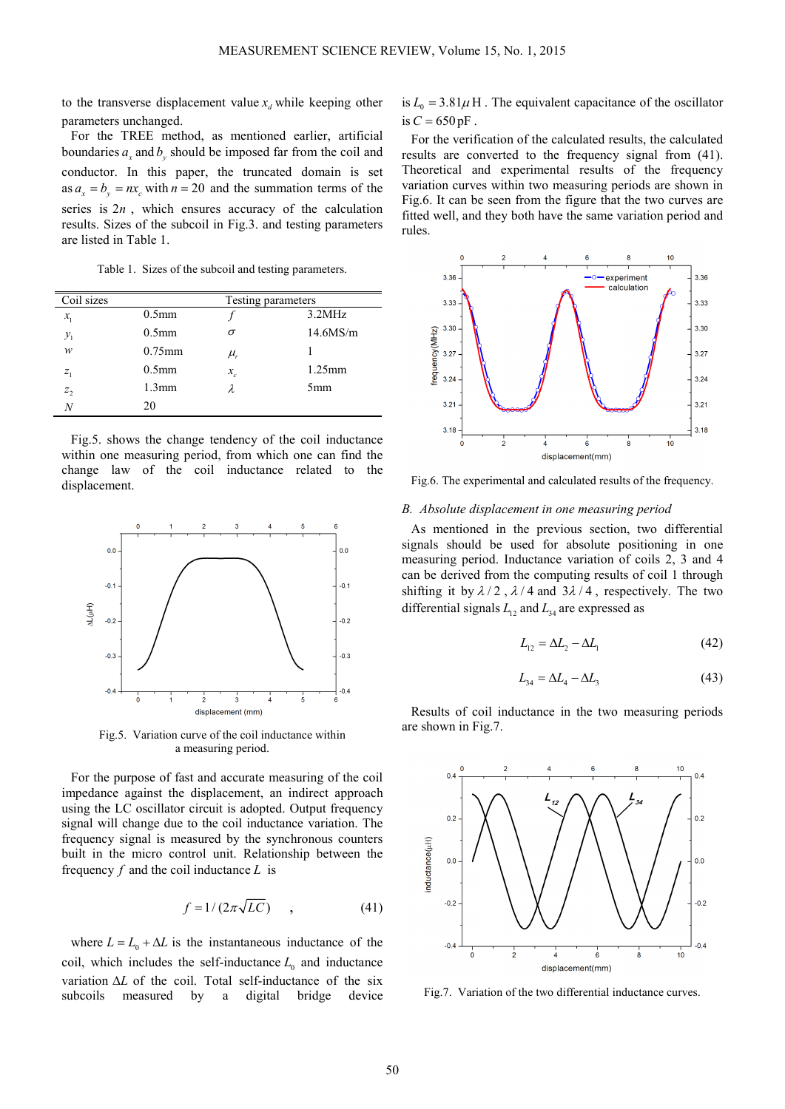to the transverse displacement value  $x_d$  while keeping other parameters unchanged.

For the TREE method, as mentioned earlier, artificial boundaries  $a_x$  and  $b_y$  should be imposed far from the coil and conductor. In this paper, the truncated domain is set as  $a_x = b_y = nx_c$  with  $n = 20$  and the summation terms of the series is 2*n* , which ensures accuracy of the calculation results. Sizes of the subcoil in Fig.3. and testing parameters are listed in Table 1.

Table 1. Sizes of the subcoil and testing parameters.

| Coil sizes      |                   | Testing parameters |           |
|-----------------|-------------------|--------------------|-----------|
| $x_{1}$         | $0.5$ mm          |                    | 3.2MHz    |
| $\mathcal{Y}_1$ | 0.5 <sub>mm</sub> | σ                  | 14.6MS/m  |
| w               | $0.75$ mm         | $\mu_{\rm r}$      |           |
| $Z_1$           | 0.5 <sub>mm</sub> | $x_c$              | $1.25$ mm |
| $z_{2}$         | $1.3$ mm          | λ                  | 5mm       |
|                 | 20                |                    |           |

Fig.5. shows the change tendency of the coil inductance within one measuring period, from which one can find the change law of the coil inductance related to the displacement.



Fig.5. Variation curve of the coil inductance within a measuring period.

For the purpose of fast and accurate measuring of the coil impedance against the displacement, an indirect approach using the LC oscillator circuit is adopted. Output frequency signal will change due to the coil inductance variation. The frequency signal is measured by the synchronous counters built in the micro control unit. Relationship between the frequency *f* and the coil inductance *L* is

$$
f = 1/(2\pi\sqrt{LC}) \qquad , \tag{41}
$$

where  $L = L_0 + \Delta L$  is the instantaneous inductance of the coil, which includes the self-inductance  $L_0$  and inductance variation ∆*L* of the coil. Total self-inductance of the six subcoils measured by a digital bridge device

is  $L_0 = 3.81 \mu$  H. The equivalent capacitance of the oscillator is  $C = 650$  pF.

For the verification of the calculated results, the calculated results are converted to the frequency signal from (41). Theoretical and experimental results of the frequency variation curves within two measuring periods are shown in Fig.6. It can be seen from the figure that the two curves are fitted well, and they both have the same variation period and rules.



Fig.6. The experimental and calculated results of the frequency.

# *B. Absolute displacement in one measuring period*

As mentioned in the previous section, two differential signals should be used for absolute positioning in one measuring period. Inductance variation of coils 2, 3 and 4 can be derived from the computing results of coil 1 through shifting it by  $\lambda/2$ ,  $\lambda/4$  and  $3\lambda/4$ , respectively. The two differential signals  $L_{12}$  and  $L_{34}$  are expressed as

$$
L_{12} = \Delta L_2 - \Delta L_1 \tag{42}
$$

$$
L_{34} = \Delta L_4 - \Delta L_3 \tag{43}
$$

Results of coil inductance in the two measuring periods are shown in Fig.7.



Fig.7. Variation of the two differential inductance curves.